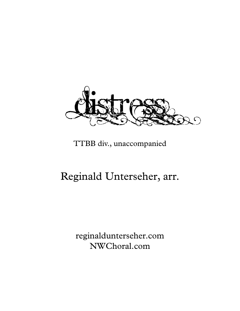

## TTBB div., unaccompanied

## Reginald Unterseher, arr.

reginaldunterseher.com NWChoral.com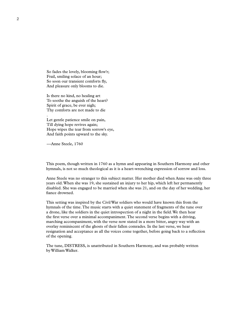So fades the lovely, blooming flow'r; Frail, smiling solace of an hour; So soon our transient comforts fly, And pleasure only blooms to die.

Is there no kind, no healing art To soothe the anguish of the heart? Spirit of grace, be ever nigh; Thy comforts are not made to die

Let gentle patience smile on pain, Till dying hope revives again; Hope wipes the tear from sorrow's eye, And faith points upward to the sky.

---Anne Steele, 1760

This poem, though written in 1760 as a hymn and appearing in Southern Harmony and other hymnals, is not so much theological as it is a heart-wrenching expression of sorrow and loss.

Anne Steele was no stranger to this subject matter. Her mother died when Anne was only three years old.When she was 19, she sustained an injury to her hip, which left her permanently disabled. She was engaged to be married when she was 21, and on the day of her wedding, her fiance drowned.

This setting was inspired by the CivilWar soldiers who would have known this from the hymnals of the time.The music starts with a quiet statement of fragments of the tune over a drone, like the soldiers in the quiet introspection of a night in the field.We then hear the first verse over a minimal accompaniment.The second verse begins with a driving, marching accompaniment, with the verse now stated in a more bitter, angry way with an overlay reminiscent of the ghosts of their fallen comrades. In the last verse, we hear resignation and acceptance as all the voices come together, before going back to a reflection of the opening.

The tune, DISTRESS, is unattributed in Southern Harmony, and was probably written byWilliamWalker.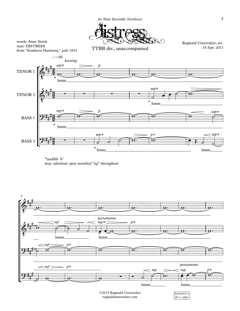

*\*audible 'h' may substitute open mouthed "ng" throughout*



reginaldunterseher.com

*for x copies*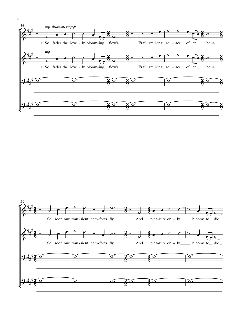



4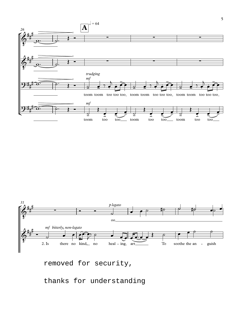



removed for security,

thanks for understanding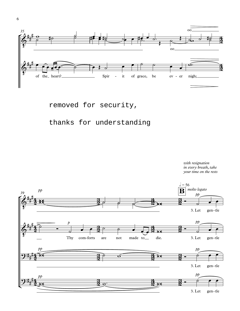

removed for security,

## thanks for understanding



*with resignation in every breath, take* 

6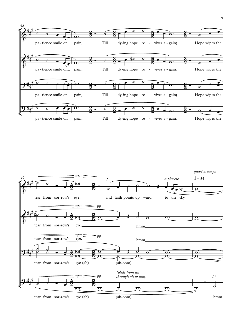